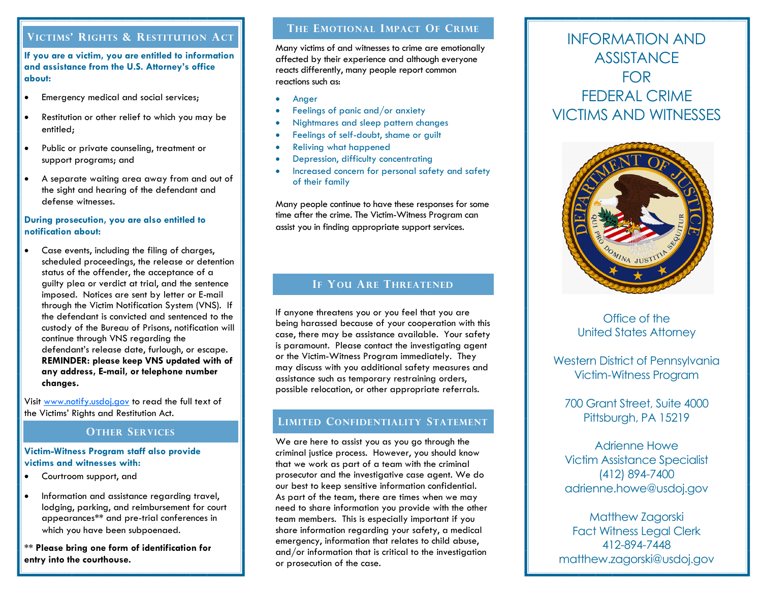## **VICTIMS' RIGHTS & RESTITUTION ACT**

**If you are a victim, you are entitled to information and assistance from the U.S. Attorney's office about:**

- Emergency medical and social services;
- Restitution or other relief to which you may be entitled;
- Public or private counseling, treatment or support programs; and
- A separate waiting area away from and out of the sight and hearing of the defendant and defense witnesses.

#### **During prosecution, you are also entitled to notification about:**

 Case events, including the filing of charges, scheduled proceedings, the release or detention status of the offender, the acceptance of a guilty plea or verdict at trial, and the sentence imposed. Notices are sent by letter or E-mail through the Victim Notification System (VNS). If the defendant is convicted and sentenced to the custody of the Bureau of Prisons, notification will continue through VNS regarding the defendant's release date, furlough, or escape. **REMINDER: please keep VNS updated with of any address, E-mail, or telephone number changes.**

Visit [www.notify.usdoj.gov](https://www.notify.usdoj.gov/InvestigativeVictimRights.pdf) to read the full text of the Victims' Rights and Restitution Act.

#### **OTHER SERVICES**

#### **Victim-Witness Program staff also provide victims and witnesses with:**

- Courtroom support, and
- Information and assistance regarding travel, lodging, parking, and reimbursement for court appearances**\*\*** and pre-trial conferences in which you have been subpoenaed.

**\*\* Please bring one form of identification for entry into the courthouse.**

## **THE EMOTIONAL IMPACT OF CRIME**

Many victims of and witnesses to crime are emotionally affected by their experience and although everyone reacts differently, many people report common reactions such as:

- Anger
- Feelings of panic and/or anxiety
- Nightmares and sleep pattern changes
- Feelings of self-doubt, shame or guilt
- Reliving what happened
- Depression, difficulty concentrating
- Increased concern for personal safety and safety of their family

Many people continue to have these responses for some time after the crime. The Victim-Witness Program can assist you in finding appropriate support services.

## **IF YOU ARE THREATENED**

If anyone threatens you or you feel that you are being harassed because of your cooperation with this case, there may be assistance available. Your safety is paramount. Please contact the investigating agent or the Victim-Witness Program immediately. They may discuss with you additional safety measures and assistance such as temporary restraining orders, possible relocation, or other appropriate referrals.

## **LIMITED CONFIDENTIALITY STATEMENT**

We are here to assist you as you go through the criminal justice process. However, you should know that we work as part of a team with the criminal prosecutor and the investigative case agent. We do our best to keep sensitive information confidential. As part of the team, there are times when we may need to share information you provide with the other team members. This is especially important if you share information regarding your safety, a medical emergency, information that relates to child abuse, and/or information that is critical to the investigation or prosecution of the case.

## INFORMATION AND **ASSISTANCE** FOR FEDERAL CRIME VICTIMS AND WITNESSES



## Office of the United States Attorney

Western District of Pennsylvania Victim-Witness Program

700 Grant Street, Suite 4000 Pittsburgh, PA 15219

Adrienne Howe Victim Assistance Specialist (412) 894-7400 adrienne.howe@usdoj.gov

Matthew Zagorski Fact Witness Legal Clerk 412-894-7448 matthew.zagorski@usdoj.gov